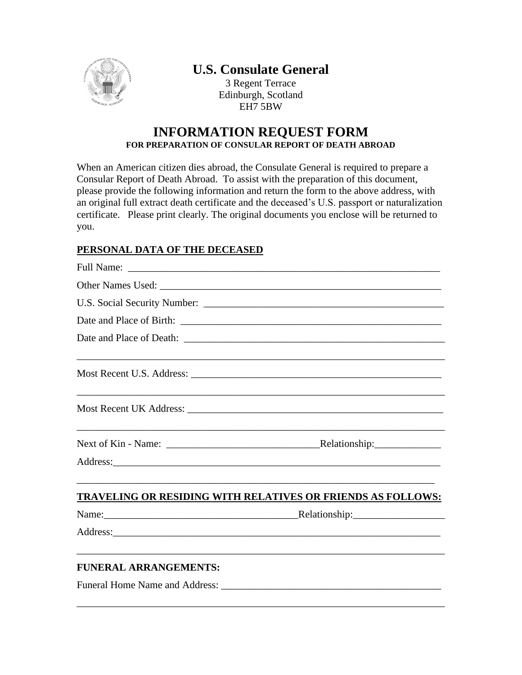

## **U.S. Consulate General**

3 Regent Terrace Edinburgh, Scotland EH7 5BW

## **INFORMATION REQUEST FORM FOR PREPARATION OF CONSULAR REPORT OF DEATH ABROAD**

When an American citizen dies abroad, the Consulate General is required to prepare a Consular Report of Death Abroad. To assist with the preparation of this document, please provide the following information and return the form to the above address, with an original full extract death certificate and the deceased's U.S. passport or naturalization certificate. Please print clearly. The original documents you enclose will be returned to you.

## **PERSONAL DATA OF THE DECEASED**

|                              | Date and Place of Birth:                                           |
|------------------------------|--------------------------------------------------------------------|
|                              |                                                                    |
|                              |                                                                    |
|                              |                                                                    |
|                              |                                                                    |
|                              |                                                                    |
|                              | <b>TRAVELING OR RESIDING WITH RELATIVES OR FRIENDS AS FOLLOWS:</b> |
|                              |                                                                    |
|                              |                                                                    |
| <b>FUNERAL ARRANGEMENTS:</b> |                                                                    |
|                              |                                                                    |

\_\_\_\_\_\_\_\_\_\_\_\_\_\_\_\_\_\_\_\_\_\_\_\_\_\_\_\_\_\_\_\_\_\_\_\_\_\_\_\_\_\_\_\_\_\_\_\_\_\_\_\_\_\_\_\_\_\_\_\_\_\_\_\_\_\_\_\_\_\_\_\_